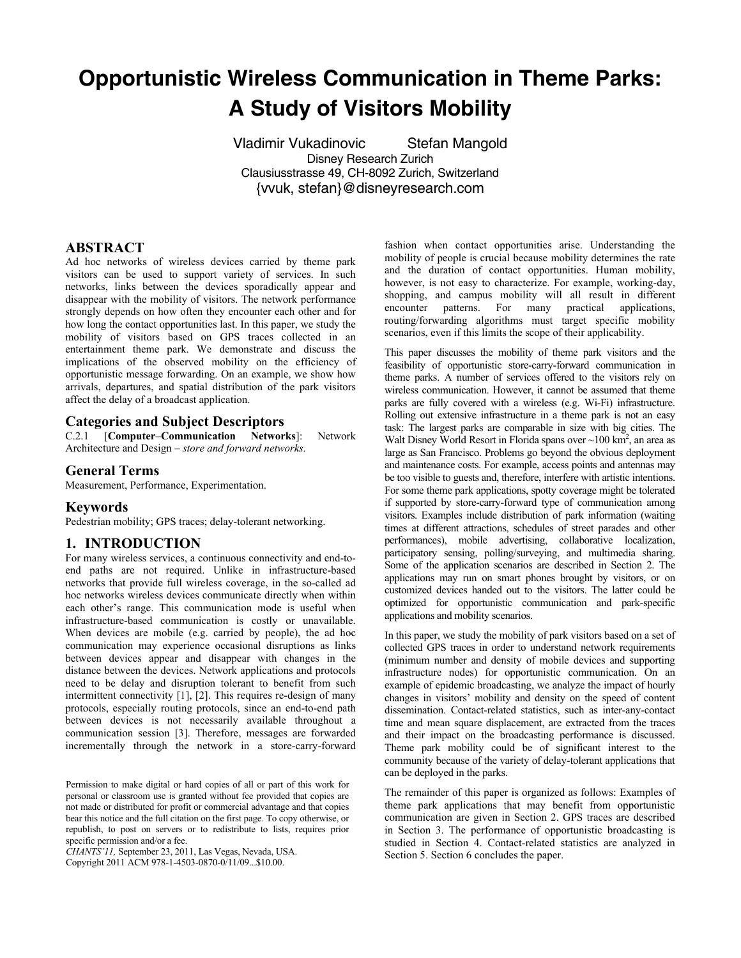# **Opportunistic Wireless Communication in Theme Parks: A Study of Visitors Mobility**

Vladimir Vukadinovic Stefan Mangold Disney Research Zurich Clausiusstrasse 49, CH-8092 Zurich, Switzerland {vvuk, stefan}@disneyresearch.com

## **ABSTRACT**

Ad hoc networks of wireless devices carried by theme park visitors can be used to support variety of services. In such networks, links between the devices sporadically appear and disappear with the mobility of visitors. The network performance strongly depends on how often they encounter each other and for how long the contact opportunities last. In this paper, we study the mobility of visitors based on GPS traces collected in an entertainment theme park. We demonstrate and discuss the implications of the observed mobility on the efficiency of opportunistic message forwarding. On an example, we show how arrivals, departures, and spatial distribution of the park visitors affect the delay of a broadcast application.

## **Categories and Subject Descriptors**

C.2.1 [**Computer**–**Communication Networks**]: Network Architecture and Design – *store and forward networks.* 

## **General Terms**

Measurement, Performance, Experimentation.

#### **Keywords**

Pedestrian mobility; GPS traces; delay-tolerant networking.

### **1. INTRODUCTION**

For many wireless services, a continuous connectivity and end-toend paths are not required. Unlike in infrastructure-based networks that provide full wireless coverage, in the so-called ad hoc networks wireless devices communicate directly when within each other's range. This communication mode is useful when infrastructure-based communication is costly or unavailable. When devices are mobile (e.g. carried by people), the ad hoc communication may experience occasional disruptions as links between devices appear and disappear with changes in the distance between the devices. Network applications and protocols need to be delay and disruption tolerant to benefit from such intermittent connectivity [1], [2]. This requires re-design of many protocols, especially routing protocols, since an end-to-end path between devices is not necessarily available throughout a communication session [3]. Therefore, messages are forwarded incrementally through the network in a store-carry-forward

*CHANTS'11,* September 23, 2011, Las Vegas, Nevada, USA.

Copyright 2011 ACM 978-1-4503-0870-0/11/09...\$10.00.

fashion when contact opportunities arise. Understanding the mobility of people is crucial because mobility determines the rate and the duration of contact opportunities. Human mobility, however, is not easy to characterize. For example, working-day, shopping, and campus mobility will all result in different encounter patterns. For many practical applications, routing/forwarding algorithms must target specific mobility scenarios, even if this limits the scope of their applicability.

This paper discusses the mobility of theme park visitors and the feasibility of opportunistic store-carry-forward communication in theme parks. A number of services offered to the visitors rely on wireless communication. However, it cannot be assumed that theme parks are fully covered with a wireless (e.g. Wi-Fi) infrastructure. Rolling out extensive infrastructure in a theme park is not an easy task: The largest parks are comparable in size with big cities. The Walt Disney World Resort in Florida spans over  $\sim$  100 km<sup>2</sup>, an area as large as San Francisco. Problems go beyond the obvious deployment and maintenance costs. For example, access points and antennas may be too visible to guests and, therefore, interfere with artistic intentions. For some theme park applications, spotty coverage might be tolerated if supported by store-carry-forward type of communication among visitors. Examples include distribution of park information (waiting times at different attractions, schedules of street parades and other performances), mobile advertising, collaborative localization, participatory sensing, polling/surveying, and multimedia sharing. Some of the application scenarios are described in Section 2. The applications may run on smart phones brought by visitors, or on customized devices handed out to the visitors. The latter could be optimized for opportunistic communication and park-specific applications and mobility scenarios.

In this paper, we study the mobility of park visitors based on a set of collected GPS traces in order to understand network requirements (minimum number and density of mobile devices and supporting infrastructure nodes) for opportunistic communication. On an example of epidemic broadcasting, we analyze the impact of hourly changes in visitors' mobility and density on the speed of content dissemination. Contact-related statistics, such as inter-any-contact time and mean square displacement, are extracted from the traces and their impact on the broadcasting performance is discussed. Theme park mobility could be of significant interest to the community because of the variety of delay-tolerant applications that can be deployed in the parks.

The remainder of this paper is organized as follows: Examples of theme park applications that may benefit from opportunistic communication are given in Section 2. GPS traces are described in Section 3. The performance of opportunistic broadcasting is studied in Section 4. Contact-related statistics are analyzed in Section 5. Section 6 concludes the paper.

Permission to make digital or hard copies of all or part of this work for personal or classroom use is granted without fee provided that copies are not made or distributed for profit or commercial advantage and that copies bear this notice and the full citation on the first page. To copy otherwise, or republish, to post on servers or to redistribute to lists, requires prior specific permission and/or a fee.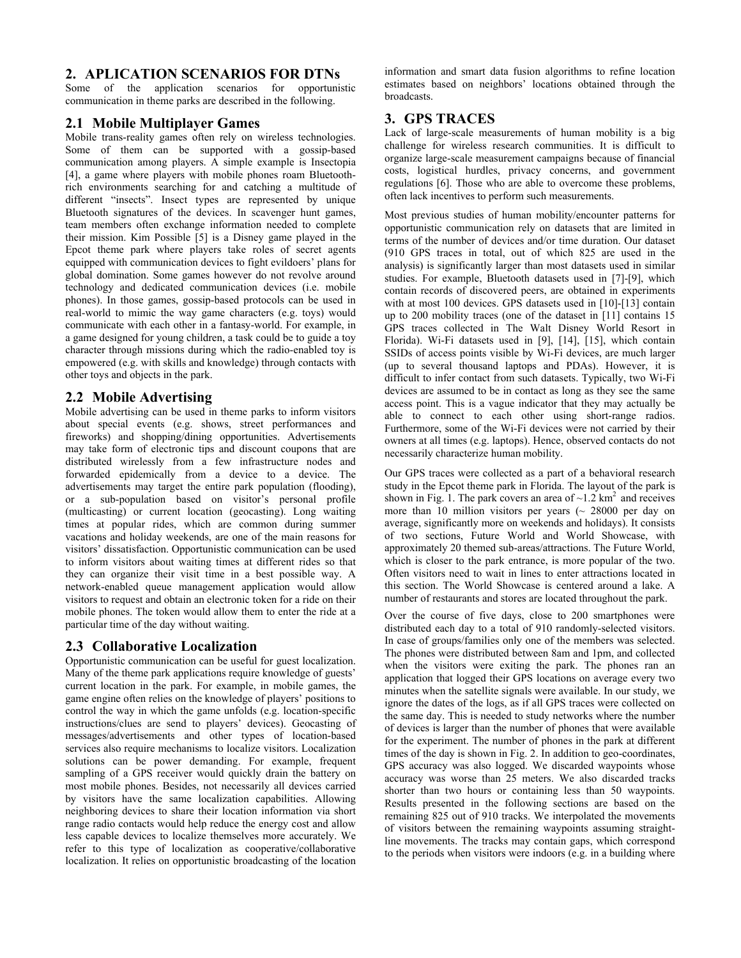## **2. APLICATION SCENARIOS FOR DTNs**

Some of the application scenarios for opportunistic communication in theme parks are described in the following.

## **2.1 Mobile Multiplayer Games**

Mobile trans-reality games often rely on wireless technologies. Some of them can be supported with a gossip-based communication among players. A simple example is Insectopia [4], a game where players with mobile phones roam Bluetoothrich environments searching for and catching a multitude of different "insects". Insect types are represented by unique Bluetooth signatures of the devices. In scavenger hunt games, team members often exchange information needed to complete their mission. Kim Possible [5] is a Disney game played in the Epcot theme park where players take roles of secret agents equipped with communication devices to fight evildoers' plans for global domination. Some games however do not revolve around technology and dedicated communication devices (i.e. mobile phones). In those games, gossip-based protocols can be used in real-world to mimic the way game characters (e.g. toys) would communicate with each other in a fantasy-world. For example, in a game designed for young children, a task could be to guide a toy character through missions during which the radio-enabled toy is empowered (e.g. with skills and knowledge) through contacts with other toys and objects in the park.

## **2.2 Mobile Advertising**

Mobile advertising can be used in theme parks to inform visitors about special events (e.g. shows, street performances and fireworks) and shopping/dining opportunities. Advertisements may take form of electronic tips and discount coupons that are distributed wirelessly from a few infrastructure nodes and forwarded epidemically from a device to a device. The advertisements may target the entire park population (flooding), or a sub-population based on visitor's personal profile (multicasting) or current location (geocasting). Long waiting times at popular rides, which are common during summer vacations and holiday weekends, are one of the main reasons for visitors' dissatisfaction. Opportunistic communication can be used to inform visitors about waiting times at different rides so that they can organize their visit time in a best possible way. A network-enabled queue management application would allow visitors to request and obtain an electronic token for a ride on their mobile phones. The token would allow them to enter the ride at a particular time of the day without waiting.

## **2.3 Collaborative Localization**

Opportunistic communication can be useful for guest localization. Many of the theme park applications require knowledge of guests' current location in the park. For example, in mobile games, the game engine often relies on the knowledge of players' positions to control the way in which the game unfolds (e.g. location-specific instructions/clues are send to players' devices). Geocasting of messages/advertisements and other types of location-based services also require mechanisms to localize visitors. Localization solutions can be power demanding. For example, frequent sampling of a GPS receiver would quickly drain the battery on most mobile phones. Besides, not necessarily all devices carried by visitors have the same localization capabilities. Allowing neighboring devices to share their location information via short range radio contacts would help reduce the energy cost and allow less capable devices to localize themselves more accurately. We refer to this type of localization as cooperative/collaborative localization. It relies on opportunistic broadcasting of the location information and smart data fusion algorithms to refine location estimates based on neighbors' locations obtained through the broadcasts.

# **3. GPS TRACES**

Lack of large-scale measurements of human mobility is a big challenge for wireless research communities. It is difficult to organize large-scale measurement campaigns because of financial costs, logistical hurdles, privacy concerns, and government regulations [6]. Those who are able to overcome these problems, often lack incentives to perform such measurements.

Most previous studies of human mobility/encounter patterns for opportunistic communication rely on datasets that are limited in terms of the number of devices and/or time duration. Our dataset (910 GPS traces in total, out of which 825 are used in the analysis) is significantly larger than most datasets used in similar studies. For example, Bluetooth datasets used in [7]-[9], which contain records of discovered peers, are obtained in experiments with at most 100 devices. GPS datasets used in [10]-[13] contain up to 200 mobility traces (one of the dataset in [11] contains 15 GPS traces collected in The Walt Disney World Resort in Florida). Wi-Fi datasets used in [9], [14], [15], which contain SSIDs of access points visible by Wi-Fi devices, are much larger (up to several thousand laptops and PDAs). However, it is difficult to infer contact from such datasets. Typically, two Wi-Fi devices are assumed to be in contact as long as they see the same access point. This is a vague indicator that they may actually be able to connect to each other using short-range radios. Furthermore, some of the Wi-Fi devices were not carried by their owners at all times (e.g. laptops). Hence, observed contacts do not necessarily characterize human mobility.

Our GPS traces were collected as a part of a behavioral research study in the Epcot theme park in Florida. The layout of the park is shown in Fig. 1. The park covers an area of  $\sim$ 1.2 km<sup>2</sup> and receives more than 10 million visitors per years  $\sim 28000$  per day on average, significantly more on weekends and holidays). It consists of two sections, Future World and World Showcase, with approximately 20 themed sub-areas/attractions. The Future World, which is closer to the park entrance, is more popular of the two. Often visitors need to wait in lines to enter attractions located in this section. The World Showcase is centered around a lake. A number of restaurants and stores are located throughout the park.

Over the course of five days, close to 200 smartphones were distributed each day to a total of 910 randomly-selected visitors. In case of groups/families only one of the members was selected. The phones were distributed between 8am and 1pm, and collected when the visitors were exiting the park. The phones ran an application that logged their GPS locations on average every two minutes when the satellite signals were available. In our study, we ignore the dates of the logs, as if all GPS traces were collected on the same day. This is needed to study networks where the number of devices is larger than the number of phones that were available for the experiment. The number of phones in the park at different times of the day is shown in Fig. 2. In addition to geo-coordinates, GPS accuracy was also logged. We discarded waypoints whose accuracy was worse than 25 meters. We also discarded tracks shorter than two hours or containing less than 50 waypoints. Results presented in the following sections are based on the remaining 825 out of 910 tracks. We interpolated the movements of visitors between the remaining waypoints assuming straightline movements. The tracks may contain gaps, which correspond to the periods when visitors were indoors (e.g. in a building where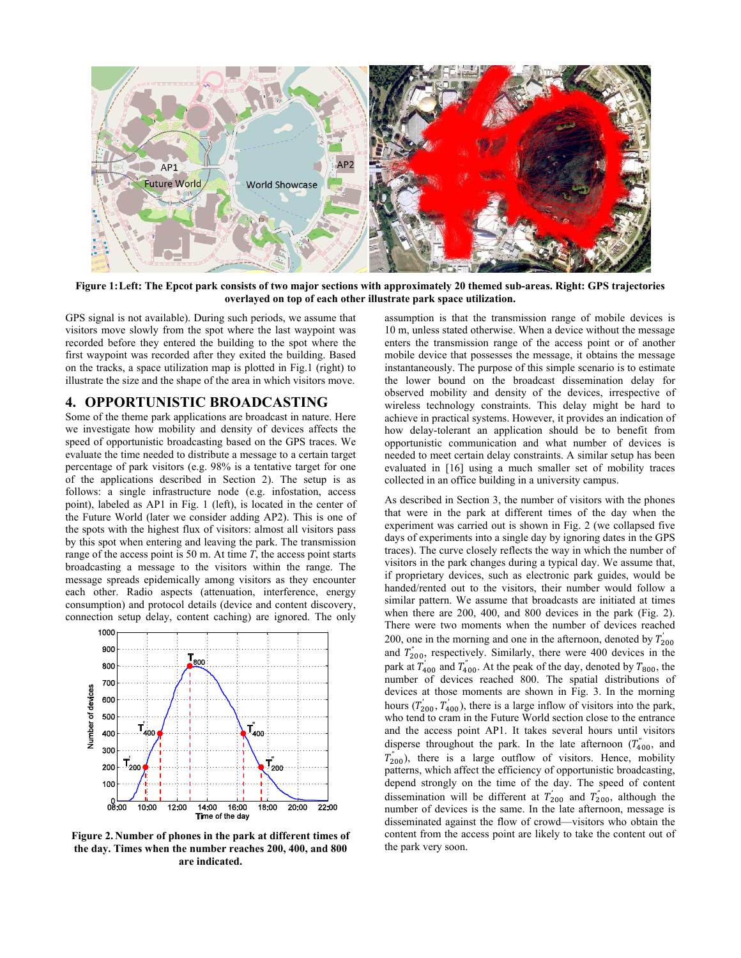

**Figure 1: Left: The Epcot park consists of two major sections with approximately 20 themed sub-areas. Right: GPS trajectories overlayed on top of each other illustrate park space utilization.** 

GPS signal is not available). During such periods, we assume that visitors move slowly from the spot where the last waypoint was recorded before they entered the building to the spot where the first waypoint was recorded after they exited the building. Based on the tracks, a space utilization map is plotted in Fig.1 (right) to illustrate the size and the shape of the area in which visitors move.

## **4. OPPORTUNISTIC BROADCASTING**

Some of the theme park applications are broadcast in nature. Here we investigate how mobility and density of devices affects the speed of opportunistic broadcasting based on the GPS traces. We evaluate the time needed to distribute a message to a certain target percentage of park visitors (e.g. 98% is a tentative target for one of the applications described in Section 2). The setup is as follows: a single infrastructure node (e.g. infostation, access point), labeled as AP1 in Fig. 1 (left), is located in the center of the Future World (later we consider adding AP2). This is one of the spots with the highest flux of visitors: almost all visitors pass by this spot when entering and leaving the park. The transmission range of the access point is 50 m. At time *T*, the access point starts broadcasting a message to the visitors within the range. The message spreads epidemically among visitors as they encounter each other. Radio aspects (attenuation, interference, energy consumption) and protocol details (device and content discovery, connection setup delay, content caching) are ignored. The only



**Figure 2. Number of phones in the park at different times of the day. Times when the number reaches 200, 400, and 800 are indicated.** 

assumption is that the transmission range of mobile devices is 10 m, unless stated otherwise. When a device without the message enters the transmission range of the access point or of another mobile device that possesses the message, it obtains the message instantaneously. The purpose of this simple scenario is to estimate the lower bound on the broadcast dissemination delay for observed mobility and density of the devices, irrespective of wireless technology constraints. This delay might be hard to achieve in practical systems. However, it provides an indication of how delay-tolerant an application should be to benefit from opportunistic communication and what number of devices is needed to meet certain delay constraints. A similar setup has been evaluated in [16] using a much smaller set of mobility traces collected in an office building in a university campus.

As described in Section 3, the number of visitors with the phones that were in the park at different times of the day when the experiment was carried out is shown in Fig. 2 (we collapsed five days of experiments into a single day by ignoring dates in the GPS traces). The curve closely reflects the way in which the number of visitors in the park changes during a typical day. We assume that, if proprietary devices, such as electronic park guides, would be handed/rented out to the visitors, their number would follow a similar pattern. We assume that broadcasts are initiated at times when there are 200, 400, and 800 devices in the park (Fig. 2). There were two moments when the number of devices reached 200, one in the morning and one in the afternoon, denoted by  $T'_{200}$ and  $T_{200}^{''}$ , respectively. Similarly, there were 400 devices in the park at  $T_{400}^{'}$  and  $T_{400}^{''}$ . At the peak of the day, denoted by  $T_{800}$ , the number of devices reached 800. The spatial distributions of devices at those moments are shown in Fig. 3. In the morning hours  $(T'_{200}, T'_{400})$ , there is a large inflow of visitors into the park, who tend to cram in the Future World section close to the entrance and the access point AP1. It takes several hours until visitors disperse throughout the park. In the late afternoon  $(T_{400}^{"},$  and  $T_{200}^{''}$ ), there is a large outflow of visitors. Hence, mobility patterns, which affect the efficiency of opportunistic broadcasting, depend strongly on the time of the day. The speed of content dissemination will be different at  $T'_{200}$  and  $T''_{200}$ , although the number of devices is the same. In the late afternoon, message is disseminated against the flow of crowd—visitors who obtain the content from the access point are likely to take the content out of the park very soon.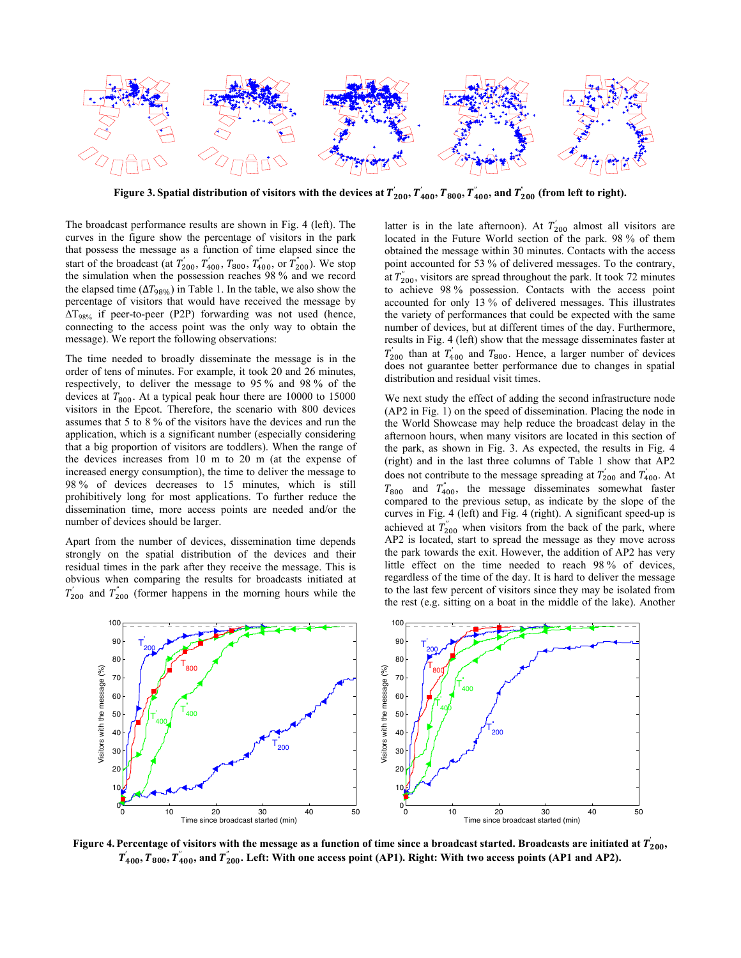

Figure 3. Spatial distribution of visitors with the devices at  $T_{200}', T_{400}, T_{800}, T_{400}'$ , and  $T_{200}'$  (from left to right).

The broadcast performance results are shown in Fig. 4 (left). The curves in the figure show the percentage of visitors in the park that possess the message as a function of time elapsed since the start of the broadcast (at  $T'_{200}$ ,  $T'_{400}$ ,  $T_{800}$ ,  $T''_{400}$ , or  $T''_{200}$ ). We stop the simulation when the possession reaches 98 % and we record the elapsed time ( $\Delta T_{98\%}$ ) in Table 1. In the table, we also show the percentage of visitors that would have received the message by ∆T98% if peer-to-peer (P2P) forwarding was not used (hence, connecting to the access point was the only way to obtain the message). We report the following observations:

The time needed to broadly disseminate the message is in the order of tens of minutes. For example, it took 20 and 26 minutes, respectively, to deliver the message to 95 % and 98 % of the devices at  $T_{800}$ . At a typical peak hour there are 10000 to 15000 visitors in the Epcot. Therefore, the scenario with 800 devices assumes that 5 to 8 % of the visitors have the devices and run the application, which is a significant number (especially considering that a big proportion of visitors are toddlers). When the range of the devices increases from 10 m to 20 m (at the expense of increased energy consumption), the time to deliver the message to 98 % of devices decreases to 15 minutes, which is still prohibitively long for most applications. To further reduce the dissemination time, more access points are needed and/or the number of devices should be larger.

Apart from the number of devices, dissemination time depends strongly on the spatial distribution of the devices and their residual times in the park after they receive the message. This is obvious when comparing the results for broadcasts initiated at  $T'_{200}$  and  $T''_{200}$  (former happens in the morning hours while the

latter is in the late afternoon). At  $T'_{200}$  almost all visitors are located in the Future World section of the park. 98 % of them obtained the message within 30 minutes. Contacts with the access point accounted for 53 % of delivered messages. To the contrary, at  $T_{200}^{\prime}$ , visitors are spread throughout the park. It took 72 minutes to achieve 98 % possession. Contacts with the access point accounted for only 13 % of delivered messages. This illustrates the variety of performances that could be expected with the same number of devices, but at different times of the day. Furthermore, results in Fig. 4 (left) show that the message disseminates faster at  $T'_{200}$  than at  $T'_{400}$  and  $T_{800}$ . Hence, a larger number of devices does not guarantee better performance due to changes in spatial distribution and residual visit times.

We next study the effect of adding the second infrastructure node (AP2 in Fig. 1) on the speed of dissemination. Placing the node in the World Showcase may help reduce the broadcast delay in the afternoon hours, when many visitors are located in this section of the park, as shown in Fig. 3. As expected, the results in Fig. 4 (right) and in the last three columns of Table 1 show that AP2 does not contribute to the message spreading at  $T'_{200}$  and  $T'_{400}$ . At  $T_{800}$  and  $T_{400}^{''}$ , the message disseminates somewhat faster compared to the previous setup, as indicate by the slope of the curves in Fig. 4 (left) and Fig. 4 (right). A significant speed-up is achieved at  $T_{200}^{\prime}$  when visitors from the back of the park, where AP2 is located, start to spread the message as they move across the park towards the exit. However, the addition of AP2 has very little effect on the time needed to reach 98 % of devices, regardless of the time of the day. It is hard to deliver the message to the last few percent of visitors since they may be isolated from the rest (e.g. sitting on a boat in the middle of the lake). Another



Figure 4. Percentage of visitors with the message as a function of time since a broadcast started. Broadcasts are initiated at  $T'_{200},$  $T_{400}$ ,  $T_{800}$ ,  $T_{400}$ , and  $T_{200}$ . Left: With one access point (AP1). Right: With two access points (AP1 and AP2).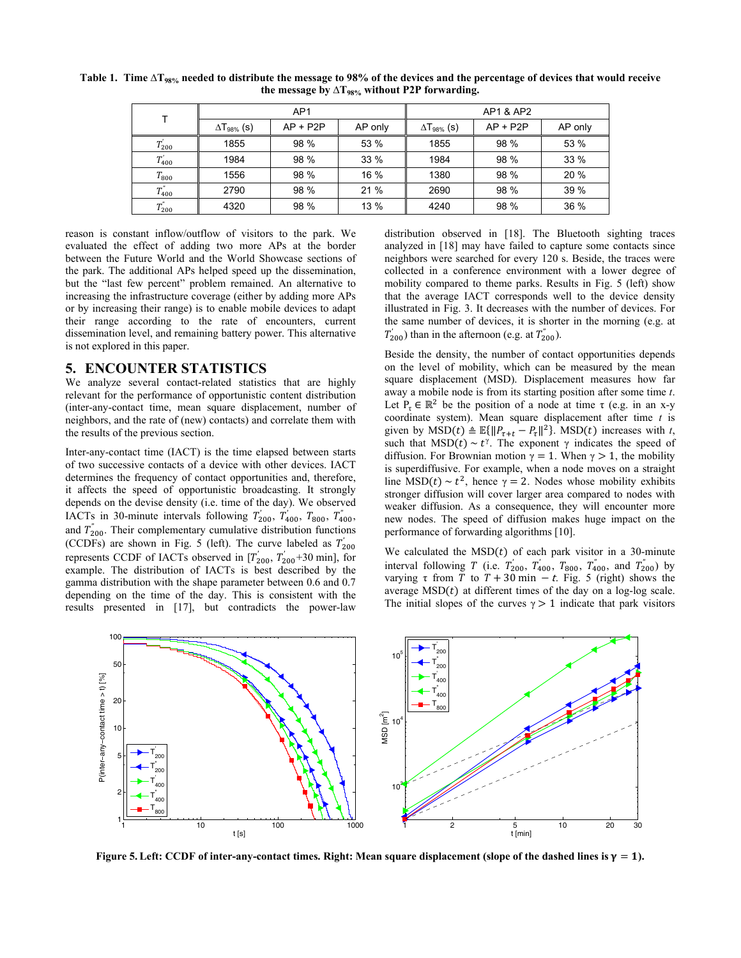|                  | AP <sub>1</sub>       |            |         | AP1 & AP2             |            |         |  |
|------------------|-----------------------|------------|---------|-----------------------|------------|---------|--|
|                  | $\Delta T_{98\%}$ (s) | $AP + P2P$ | AP only | $\Delta T_{98\%}$ (s) | $AP + P2P$ | AP only |  |
| $T_{200}$        | 1855                  | 98 %       | 53 %    | 1855                  | 98 %       | 53 %    |  |
| $T^{'}_{400}$    | 1984                  | 98 %       | 33 %    | 1984                  | 98 %       | 33 %    |  |
| $T_{800}$        | 1556                  | 98 %       | 16 %    | 1380                  | 98 %       | 20 %    |  |
| $T_{400}^{''}$   | 2790                  | 98 %       | 21 %    | 2690                  | 98 %       | 39 %    |  |
| T''<br>$^{1200}$ | 4320                  | 98 %       | 13 %    | 4240                  | 98 %       | 36 %    |  |

**Table 1. Time ∆T98% needed to distribute the message to 98% of the devices and the percentage of devices that would receive**  the message by  $\Delta T_{98\%}$  without P2P forwarding.

reason is constant inflow/outflow of visitors to the park. We evaluated the effect of adding two more APs at the border between the Future World and the World Showcase sections of the park. The additional APs helped speed up the dissemination, but the "last few percent" problem remained. An alternative to increasing the infrastructure coverage (either by adding more APs or by increasing their range) is to enable mobile devices to adapt their range according to the rate of encounters, current dissemination level, and remaining battery power. This alternative is not explored in this paper.

## **5. ENCOUNTER STATISTICS**

We analyze several contact-related statistics that are highly relevant for the performance of opportunistic content distribution (inter-any-contact time, mean square displacement, number of neighbors, and the rate of (new) contacts) and correlate them with the results of the previous section.

Inter-any-contact time (IACT) is the time elapsed between starts of two successive contacts of a device with other devices. IACT determines the frequency of contact opportunities and, therefore, it affects the speed of opportunistic broadcasting. It strongly depends on the devise density (i.e. time of the day). We observed IACTs in 30-minute intervals following  $T'_{200}$ ,  $T'_{400}$ ,  $T_{800}$ ,  $T''_{400}$ , and  $T_{200}^{''}$ . Their complementary cumulative distribution functions (CCDFs) are shown in Fig. 5 (left). The curve labeled as  $T'_{200}$ represents CCDF of IACTs observed in  $[T'_{200}, T'_{200}+30 \text{ min}]$ , for example. The distribution of IACTs is best described by the gamma distribution with the shape parameter between 0.6 and 0.7 depending on the time of the day. This is consistent with the results presented in [17], but contradicts the power-law

distribution observed in [18]. The Bluetooth sighting traces analyzed in [18] may have failed to capture some contacts since neighbors were searched for every 120 s. Beside, the traces were collected in a conference environment with a lower degree of mobility compared to theme parks. Results in Fig. 5 (left) show that the average IACT corresponds well to the device density illustrated in Fig. 3. It decreases with the number of devices. For the same number of devices, it is shorter in the morning (e.g. at  $T'_{200}$ ) than in the afternoon (e.g. at  $T''_{200}$ ).

Beside the density, the number of contact opportunities depends on the level of mobility, which can be measured by the mean square displacement (MSD). Displacement measures how far away a mobile node is from its starting position after some time *t*. Let  $P_{\tau} \in \mathbb{R}^2$  be the position of a node at time  $\tau$  (e.g. in an x-y coordinate system). Mean square displacement after time *t* is given by  $\text{MSD}(t) \triangleq \mathbb{E}\{\|P_{\tau+t} - P_{\tau}\|^2\}$ .  $\text{MSD}(t)$  increases with *t*, such that  $MSD(t) \sim t^{\gamma}$ . The exponent  $\gamma$  indicates the speed of diffusion. For Brownian motion  $\gamma = 1$ . When  $\gamma > 1$ , the mobility is superdiffusive. For example, when a node moves on a straight line MSD(t) ~  $t^2$ , hence  $\gamma = 2$ . Nodes whose mobility exhibits stronger diffusion will cover larger area compared to nodes with weaker diffusion. As a consequence, they will encounter more new nodes. The speed of diffusion makes huge impact on the performance of forwarding algorithms [10].

We calculated the  $MSD(t)$  of each park visitor in a 30-minute interval following T (i.e.  $T'_{200}$ ,  $T'_{400}$ ,  $T''_{800}$ ,  $T''_{400}$ , and  $T''_{200}$ ) by varying  $\tau$  from T to  $T + 30$  min  $-t$ . Fig. 5 (right) shows the average  $MSD(t)$  at different times of the day on a log-log scale. The initial slopes of the curves  $\gamma > 1$  indicate that park visitors



Figure 5. Left: CCDF of inter-any-contact times. Right: Mean square displacement (slope of the dashed lines is  $\gamma = 1$ ).